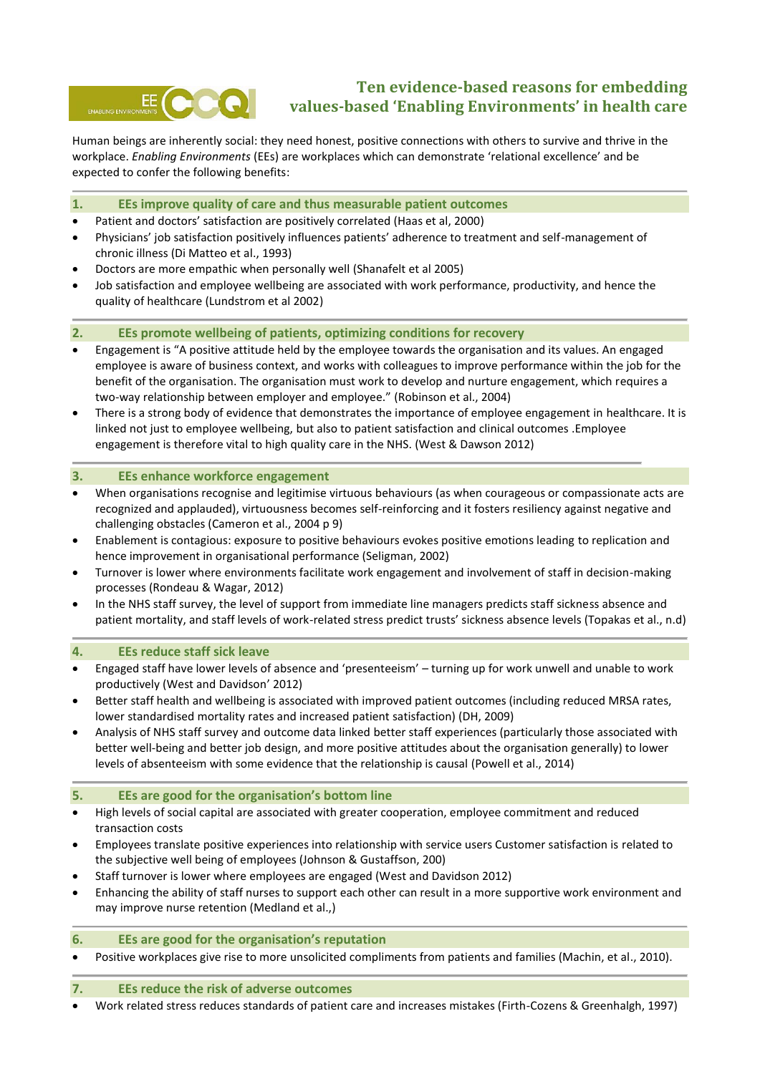

# **Ten evidence-based reasons for embedding values-based 'Enabling Environments' in health care**

Human beings are inherently social: they need honest, positive connections with others to survive and thrive in the workplace. *Enabling Environments* (EEs) are workplaces which can demonstrate 'relational excellence' and be expected to confer the following benefits:

# **1. EEs improve quality of care and thus measurable patient outcomes**

- Patient and doctors' satisfaction are positively correlated (Haas et al, 2000)
- Physicians' job satisfaction positively influences patients' adherence to treatment and self-management of chronic illness (Di Matteo et al., 1993)
- Doctors are more empathic when personally well (Shanafelt et al 2005)
- Job satisfaction and employee wellbeing are associated with work performance, productivity, and hence the quality of healthcare (Lundstrom et al 2002)

## **2. EEs promote wellbeing of patients, optimizing conditions for recovery**

- Engagement is "A positive attitude held by the employee towards the organisation and its values. An engaged employee is aware of business context, and works with colleagues to improve performance within the job for the benefit of the organisation. The organisation must work to develop and nurture engagement, which requires a two-way relationship between employer and employee." (Robinson et al., 2004)
- There is a strong body of evidence that demonstrates the importance of employee engagement in healthcare. It is linked not just to employee wellbeing, but also to patient satisfaction and clinical outcomes .Employee engagement is therefore vital to high quality care in the NHS. (West & Dawson 2012)

## **3. EEs enhance workforce engagement**

- When organisations recognise and legitimise virtuous behaviours (as when courageous or compassionate acts are recognized and applauded), virtuousness becomes self-reinforcing and it fosters resiliency against negative and challenging obstacles (Cameron et al., 2004 p 9)
- Enablement is contagious: exposure to positive behaviours evokes positive emotions leading to replication and hence improvement in organisational performance (Seligman, 2002)
- Turnover is lower where environments facilitate work engagement and involvement of staff in decision-making processes (Rondeau & Wagar, 2012)
- In the NHS staff survey, the level of support from immediate line managers predicts staff sickness absence and patient mortality, and staff levels of work-related stress predict trusts' sickness absence levels (Topakas et al., n.d)

## **4. EEs reduce staff sick leave**

- Engaged staff have lower levels of absence and 'presenteeism' turning up for work unwell and unable to work productively (West and Davidson' 2012)
- Better staff health and wellbeing is associated with improved patient outcomes (including reduced MRSA rates, lower standardised mortality rates and increased patient satisfaction) (DH, 2009)
- Analysis of NHS staff survey and outcome data linked better staff experiences (particularly those associated with better well-being and better job design, and more positive attitudes about the organisation generally) to lower levels of absenteeism with some evidence that the relationship is causal (Powell et al., 2014)

## **5. EEs are good for the organisation's bottom line**

- High levels of social capital are associated with greater cooperation, employee commitment and reduced transaction costs
- Employees translate positive experiences into relationship with service users Customer satisfaction is related to the subjective well being of employees (Johnson & Gustaffson, 200)
- Staff turnover is lower where employees are engaged (West and Davidson 2012)
- Enhancing the ability of staff nurses to support each other can result in a more supportive work environment and may improve nurse retention (Medland et al.,)

## **6. EEs are good for the organisation's reputation**

Positive workplaces give rise to more unsolicited compliments from patients and families (Machin, et al., 2010).

## **7. EEs reduce the risk of adverse outcomes**

Work related stress reduces standards of patient care and increases mistakes (Firth-Cozens & Greenhalgh, 1997)